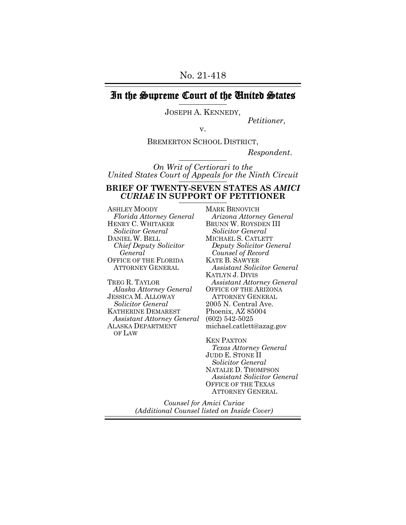# In the Supreme Court of the United States

JOSEPH A. KENNEDY,

*Petitioner*, v.

BREMERTON SCHOOL DISTRICT,

*Respondent*.

*On Writ of Certiorari to the United States Court of Appeals for the Ninth Circuit*

#### **BRIEF OF TWENTY-SEVEN STATES AS** *AMICI CURIAE* **IN SUPPORT OF PETITIONER**

ASHLEY MOODY *Florida Attorney General* HENRY C. WHITAKER *Solicitor General* DANIEL W. BELL *Chief Deputy Solicitor General* OFFICE OF THE FLORIDA ATTORNEY GENERAL

TREG R. TAYLOR *Alaska Attorney General* JESSICA M. ALLOWAY *Solicitor General* KATHERINE DEMAREST *Assistant Attorney General* ALASKA DEPARTMENT OF LAW

MARK BRNOVICH *Arizona Attorney General* BRUNN W. ROYSDEN III *Solicitor General* MICHAEL S. CATLETT *Deputy Solicitor General Counsel of Record* KATE B. SAWYER *Assistant Solicitor General* KATLYN J. DIVIS *Assistant Attorney General* OFFICE OF THE ARIZONA ATTORNEY GENERAL 2005 N. Central Ave. Phoenix, AZ 85004 (602) 542-5025 michael.catlett@azag.gov

KEN PAXTON *Texas Attorney General* JUDD E. STONE II *Solicitor General* NATALIE D. THOMPSON *Assistant Solicitor General* OFFICE OF THE TEXAS ATTORNEY GENERAL

*Counsel for Amici Curiae (Additional Counsel listed on Inside Cover)*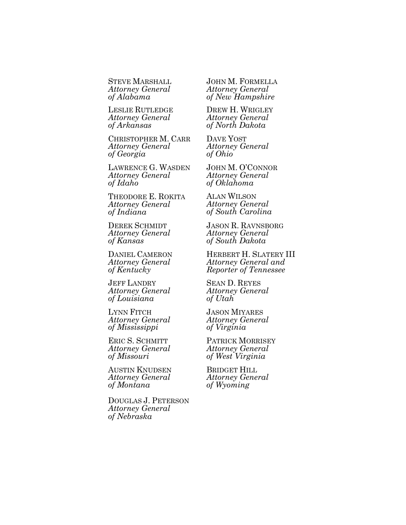STEVE MARSHALL *Attorney General of Alabama*

LESLIE RUTLEDGE *Attorney General of Arkansas*

CHRISTOPHER M. CARR *Attorney General of Georgia*

LAWRENCE G. WASDEN *Attorney General of Idaho*

THEODORE E. ROKITA *Attorney General of Indiana*

DEREK SCHMIDT *Attorney General of Kansas*

DANIEL CAMERON *Attorney General of Kentucky*

JEFF LANDRY *Attorney General of Louisiana*

LYNN FITCH *Attorney General of Mississippi*

ERIC S. SCHMITT *Attorney General of Missouri*

AUSTIN KNUDSEN *Attorney General of Montana*

DOUGLAS J. PETERSON *Attorney General of Nebraska*

JOHN M. FORMELLA *Attorney General of New Hampshire*

DREW H. WRIGLEY *Attorney General of North Dakota*

DAVE YOST *Attorney General of Ohio*

JOHN M. O'CONNOR *Attorney General of Oklahoma*

ALAN WILSON *Attorney General of South Carolina*

JASON R. RAVNSBORG *Attorney General of South Dakota*

HERBERT H. SLATERY III *Attorney General and Reporter of Tennessee*

SEAN D. REYES *Attorney General of Utah*

JASON MIYARES *Attorney General of Virginia*

PATRICK MORRISEY *Attorney General of West Virginia*

BRIDGET HILL *Attorney General of Wyoming*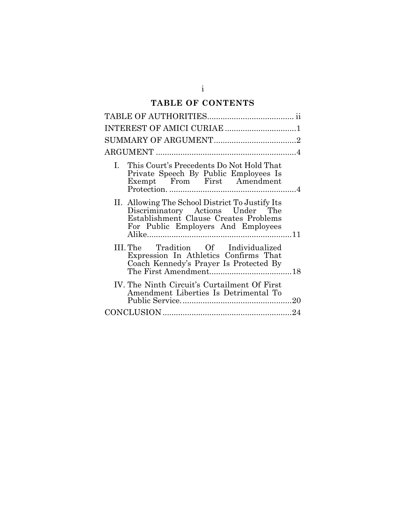# **TABLE OF CONTENTS**

| INTEREST OF AMICI CURIAE 1                                                                                                                                         |  |
|--------------------------------------------------------------------------------------------------------------------------------------------------------------------|--|
|                                                                                                                                                                    |  |
|                                                                                                                                                                    |  |
| I.<br>This Court's Precedents Do Not Hold That<br>Private Speech By Public Employees Is<br>Exempt From First Amendment                                             |  |
| II. Allowing The School District To Justify Its<br>Discriminatory Actions Under The<br>Establishment Clause Creates Problems<br>For Public Employers And Employees |  |
| III. The Tradition Of Individualized<br>Expression In Athletics Confirms That<br>Coach Kennedy's Prayer Is Protected By                                            |  |
| IV. The Ninth Circuit's Curtailment Of First<br>Amendment Liberties Is Detrimental To                                                                              |  |
|                                                                                                                                                                    |  |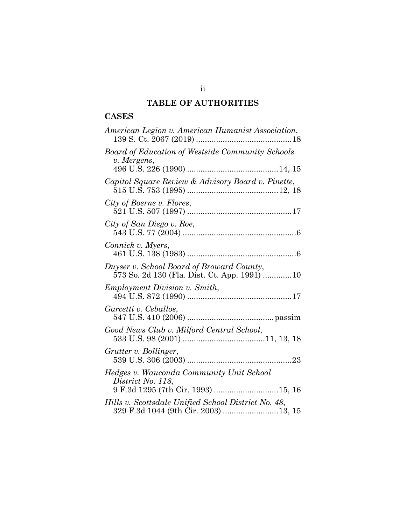# **TABLE OF AUTHORITIES**

## **CASES**

| American Legion v. American Humanist Association,                                           |
|---------------------------------------------------------------------------------------------|
| Board of Education of Westside Community Schools<br>v. Mergens,                             |
|                                                                                             |
| Capitol Square Review & Advisory Board v. Pinette,                                          |
| City of Boerne v. Flores,                                                                   |
| City of San Diego v. Roe,                                                                   |
| Connick v. Myers,                                                                           |
| Duyser v. School Board of Broward County,<br>573 So. 2d 130 (Fla. Dist. Ct. App. 1991) 10   |
| <i>Employment Division v. Smith,</i>                                                        |
| Garcetti v. Ceballos,                                                                       |
| Good News Club v. Milford Central School,                                                   |
| Grutter v. Bollinger,                                                                       |
| Hedges v. Wauconda Community Unit School<br>District No. 118,                               |
| 9 F.3d 1295 (7th Cir. 1993) 15, 16                                                          |
| Hills v. Scottsdale Unified School District No. 48,<br>329 F.3d 1044 (9th Cir. 2003) 13, 15 |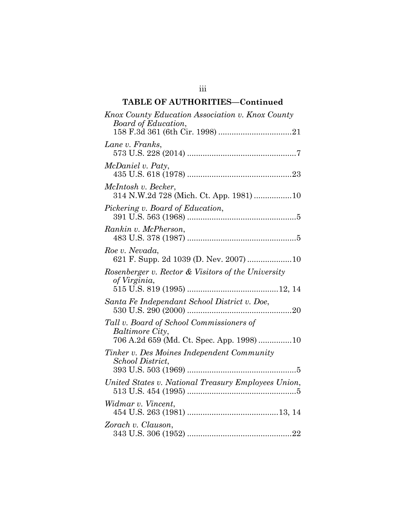# **TABLE OF AUTHORITIES—Continued**

| Knox County Education Association v. Knox County<br>Board of Education,                                  |
|----------------------------------------------------------------------------------------------------------|
| Lane v. Franks,                                                                                          |
| McDaniel v. Paty,                                                                                        |
| McIntosh v. Becker,<br>314 N.W.2d 728 (Mich. Ct. App. 1981) 10                                           |
| Pickering v. Board of Education,                                                                         |
| Rankin v. McPherson,                                                                                     |
| Roe v. Nevada,<br>621 F. Supp. 2d 1039 (D. Nev. 2007) 10                                                 |
| Rosenberger v. Rector & Visitors of the University<br>of Virginia,                                       |
| Santa Fe Independant School District v. Doe,                                                             |
| Tall v. Board of School Commissioners of<br>Baltimore City,<br>706 A.2d 659 (Md. Ct. Spec. App. 1998) 10 |
| Tinker v. Des Moines Independent Community<br>School District,                                           |
| United States v. National Treasury Employees Union,                                                      |
| Widmar v. Vincent,                                                                                       |
| Zorach v. Clauson,                                                                                       |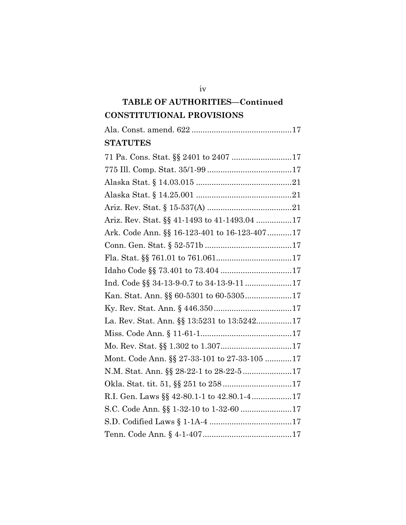# **TABLE OF AUTHORITIES—Continued CONSTITUTIONAL PROVISIONS**

| <b>STATUTES</b>                              |
|----------------------------------------------|
|                                              |
|                                              |
|                                              |
|                                              |
|                                              |
| Ariz. Rev. Stat. §§ 41-1493 to 41-1493.04 17 |
| Ark. Code Ann. §§ 16-123-401 to 16-123-40717 |
|                                              |
|                                              |
|                                              |
| Ind. Code §§ 34-13-9-0.7 to 34-13-9-11 17    |
|                                              |
|                                              |
| La. Rev. Stat. Ann. §§ 13:5231 to 13:524217  |
|                                              |
|                                              |
| Mont. Code Ann. §§ 27-33-101 to 27-33-105 17 |
|                                              |
| Okla. Stat. tit. 51, §§ 251 to 25817         |
| R.I. Gen. Laws §§ 42-80.1-1 to 42.80.1-417   |
|                                              |
|                                              |
|                                              |

iv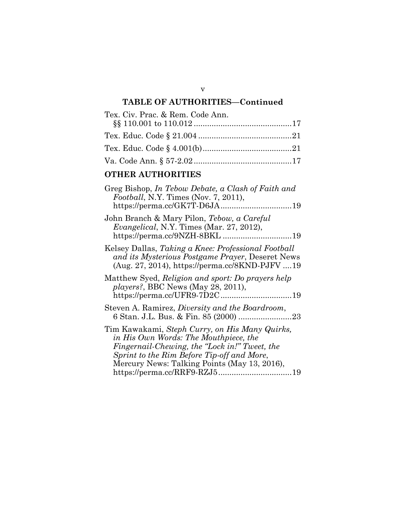# **TABLE OF AUTHORITIES—Continued**

| Tex. Civ. Prac. & Rem. Code Ann. |  |
|----------------------------------|--|
|                                  |  |
|                                  |  |
|                                  |  |
|                                  |  |

### **OTHER AUTHORITIES**

| Greg Bishop, In Tebow Debate, a Clash of Faith and<br><i>Football</i> , N.Y. Times (Nov. 7, 2011),                                                                                                                                     |
|----------------------------------------------------------------------------------------------------------------------------------------------------------------------------------------------------------------------------------------|
| John Branch & Mary Pilon, Tebow, a Careful<br><i>Evangelical</i> , N.Y. Times (Mar. 27, 2012),                                                                                                                                         |
| Kelsey Dallas, Taking a Knee: Professional Football<br>and its Mysterious Postgame Prayer, Deseret News<br>(Aug. 27, 2014), https://perma.cc/8KND-PJFV 19                                                                              |
| Matthew Syed, Religion and sport: Do prayers help<br>players?, BBC News (May 28, 2011),                                                                                                                                                |
| Steven A. Ramirez, Diversity and the Boardroom,                                                                                                                                                                                        |
| Tim Kawakami, Steph Curry, on His Many Quirks,<br>in His Own Words: The Mouthpiece, the<br>Fingernail-Chewing, the "Lock in!" Tweet, the<br>Sprint to the Rim Before Tip-off and More,<br>Mercury News: Talking Points (May 13, 2016), |

v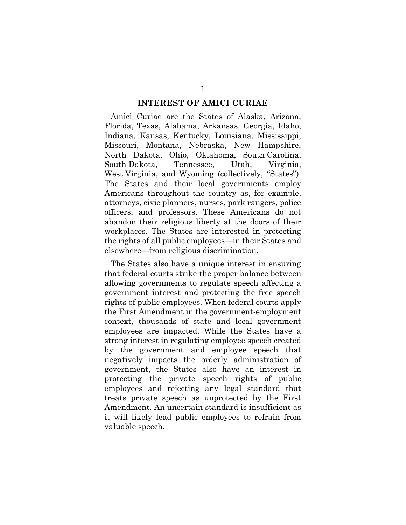#### **INTEREST OF AMICI CURIAE**

Amici Curiae are the States of Alaska, Arizona, Florida, Texas, Alabama, Arkansas, Georgia, Idaho, Indiana, Kansas, Kentucky, Louisiana, Mississippi, Missouri, Montana, Nebraska, New Hampshire, North Dakota, Ohio, Oklahoma, South Carolina, South Dakota, Tennessee, Utah, Virginia, West Virginia, and Wyoming (collectively, "States"). The States and their local governments employ Americans throughout the country as, for example, attorneys, civic planners, nurses, park rangers, police officers, and professors. These Americans do not abandon their religious liberty at the doors of their workplaces. The States are interested in protecting the rights of all public employees—in their States and elsewhere—from religious discrimination.

The States also have a unique interest in ensuring that federal courts strike the proper balance between allowing governments to regulate speech affecting a government interest and protecting the free speech rights of public employees. When federal courts apply the First Amendment in the government-employment context, thousands of state and local government employees are impacted. While the States have a strong interest in regulating employee speech created by the government and employee speech that negatively impacts the orderly administration of government, the States also have an interest in protecting the private speech rights of public employees and rejecting any legal standard that treats private speech as unprotected by the First Amendment. An uncertain standard is insufficient as it will likely lead public employees to refrain from valuable speech.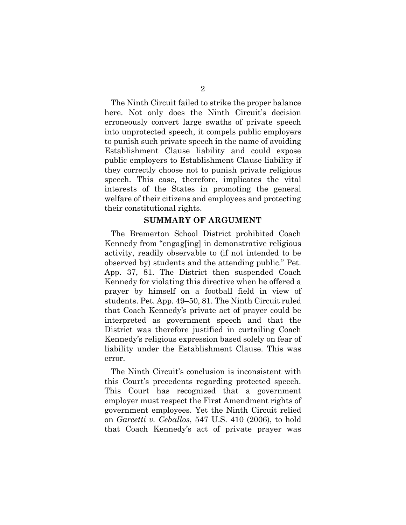The Ninth Circuit failed to strike the proper balance here. Not only does the Ninth Circuit's decision erroneously convert large swaths of private speech into unprotected speech, it compels public employers to punish such private speech in the name of avoiding Establishment Clause liability and could expose public employers to Establishment Clause liability if they correctly choose not to punish private religious speech. This case, therefore, implicates the vital interests of the States in promoting the general welfare of their citizens and employees and protecting their constitutional rights.

#### **SUMMARY OF ARGUMENT**

The Bremerton School District prohibited Coach Kennedy from "engag[ing] in demonstrative religious activity, readily observable to (if not intended to be observed by) students and the attending public." Pet. App. 37, 81. The District then suspended Coach Kennedy for violating this directive when he offered a prayer by himself on a football field in view of students. Pet. App. 49–50, 81. The Ninth Circuit ruled that Coach Kennedy's private act of prayer could be interpreted as government speech and that the District was therefore justified in curtailing Coach Kennedy's religious expression based solely on fear of liability under the Establishment Clause. This was error.

The Ninth Circuit's conclusion is inconsistent with this Court's precedents regarding protected speech. This Court has recognized that a government employer must respect the First Amendment rights of government employees. Yet the Ninth Circuit relied on *Garcetti v. Ceballos*, 547 U.S. 410 (2006), to hold that Coach Kennedy's act of private prayer was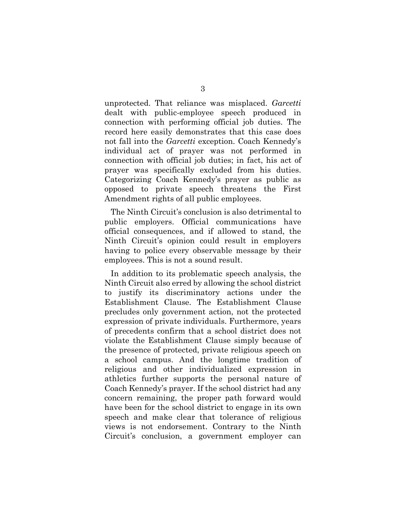unprotected. That reliance was misplaced. *Garcetti* dealt with public-employee speech produced in connection with performing official job duties. The record here easily demonstrates that this case does not fall into the *Garcetti* exception. Coach Kennedy's individual act of prayer was not performed in connection with official job duties; in fact, his act of prayer was specifically excluded from his duties. Categorizing Coach Kennedy's prayer as public as opposed to private speech threatens the First Amendment rights of all public employees.

The Ninth Circuit's conclusion is also detrimental to public employers. Official communications have official consequences, and if allowed to stand, the Ninth Circuit's opinion could result in employers having to police every observable message by their employees. This is not a sound result.

In addition to its problematic speech analysis, the Ninth Circuit also erred by allowing the school district to justify its discriminatory actions under the Establishment Clause. The Establishment Clause precludes only government action, not the protected expression of private individuals. Furthermore, years of precedents confirm that a school district does not violate the Establishment Clause simply because of the presence of protected, private religious speech on a school campus. And the longtime tradition of religious and other individualized expression in athletics further supports the personal nature of Coach Kennedy's prayer. If the school district had any concern remaining, the proper path forward would have been for the school district to engage in its own speech and make clear that tolerance of religious views is not endorsement. Contrary to the Ninth Circuit's conclusion, a government employer can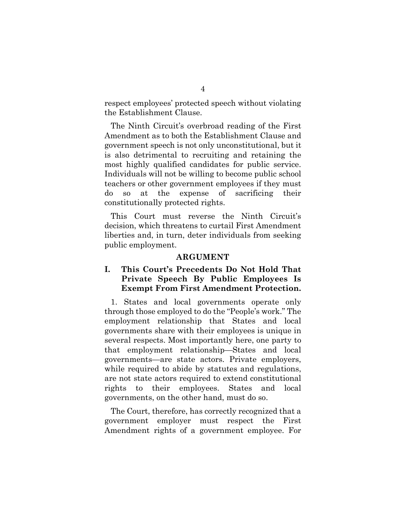respect employees' protected speech without violating the Establishment Clause.

The Ninth Circuit's overbroad reading of the First Amendment as to both the Establishment Clause and government speech is not only unconstitutional, but it is also detrimental to recruiting and retaining the most highly qualified candidates for public service. Individuals will not be willing to become public school teachers or other government employees if they must do so at the expense of sacrificing their constitutionally protected rights.

This Court must reverse the Ninth Circuit's decision, which threatens to curtail First Amendment liberties and, in turn, deter individuals from seeking public employment.

#### **ARGUMENT**

### **I. This Court's Precedents Do Not Hold That Private Speech By Public Employees Is Exempt From First Amendment Protection.**

1. States and local governments operate only through those employed to do the "People's work." The employment relationship that States and local governments share with their employees is unique in several respects. Most importantly here, one party to that employment relationship—States and local governments—are state actors. Private employers, while required to abide by statutes and regulations, are not state actors required to extend constitutional rights to their employees. States and local governments, on the other hand, must do so.

The Court, therefore, has correctly recognized that a government employer must respect the First Amendment rights of a government employee. For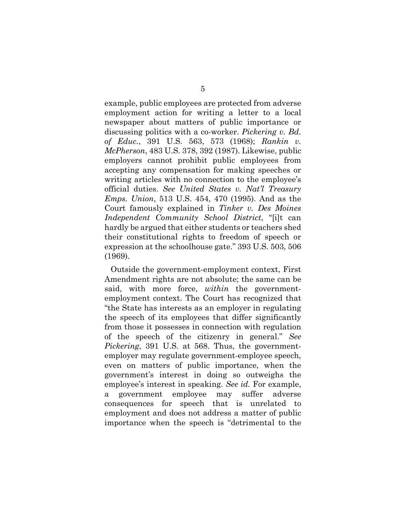example, public employees are protected from adverse employment action for writing a letter to a local newspaper about matters of public importance or discussing politics with a co-worker. *Pickering v. Bd. of Educ.*, 391 U.S. 563, 573 (1968); *Rankin v. McPherson*, 483 U.S. 378, 392 (1987). Likewise, public employers cannot prohibit public employees from accepting any compensation for making speeches or writing articles with no connection to the employee's official duties. *See United States v. Nat'l Treasury Emps. Union*, 513 U.S. 454, 470 (1995). And as the Court famously explained in *Tinker v. Des Moines Independent Community School District*, "[i]t can hardly be argued that either students or teachers shed their constitutional rights to freedom of speech or expression at the schoolhouse gate." 393 U.S. 503, 506 (1969).

Outside the government-employment context, First Amendment rights are not absolute; the same can be said, with more force, *within* the governmentemployment context. The Court has recognized that "the State has interests as an employer in regulating the speech of its employees that differ significantly from those it possesses in connection with regulation of the speech of the citizenry in general." *See Pickering*, 391 U.S. at 568. Thus, the governmentemployer may regulate government-employee speech, even on matters of public importance, when the government's interest in doing so outweighs the employee's interest in speaking. *See id.* For example, a government employee may suffer adverse consequences for speech that is unrelated to employment and does not address a matter of public importance when the speech is "detrimental to the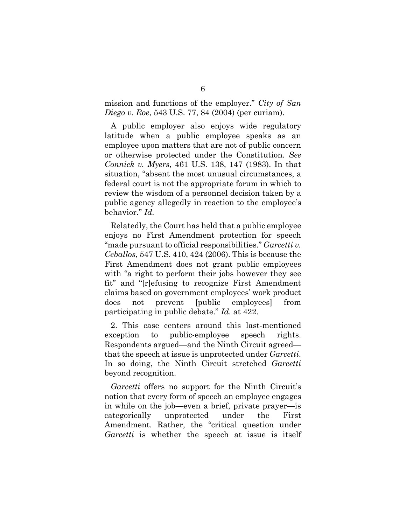mission and functions of the employer." *City of San Diego v. Roe*, 543 U.S. 77, 84 (2004) (per curiam).

A public employer also enjoys wide regulatory latitude when a public employee speaks as an employee upon matters that are not of public concern or otherwise protected under the Constitution. *See Connick v. Myers*, 461 U.S. 138, 147 (1983). In that situation, "absent the most unusual circumstances, a federal court is not the appropriate forum in which to review the wisdom of a personnel decision taken by a public agency allegedly in reaction to the employee's behavior." *Id.*

Relatedly, the Court has held that a public employee enjoys no First Amendment protection for speech "made pursuant to official responsibilities." *Garcetti v. Ceballos*, 547 U.S. 410, 424 (2006). This is because the First Amendment does not grant public employees with "a right to perform their jobs however they see fit" and "[r]efusing to recognize First Amendment claims based on government employees' work product does not prevent [public employees] from participating in public debate." *Id.* at 422.

2. This case centers around this last-mentioned exception to public-employee speech rights. Respondents argued—and the Ninth Circuit agreed that the speech at issue is unprotected under *Garcetti*. In so doing, the Ninth Circuit stretched *Garcetti* beyond recognition.

*Garcetti* offers no support for the Ninth Circuit's notion that every form of speech an employee engages in while on the job—even a brief, private prayer—is categorically unprotected under the First Amendment. Rather, the "critical question under *Garcetti* is whether the speech at issue is itself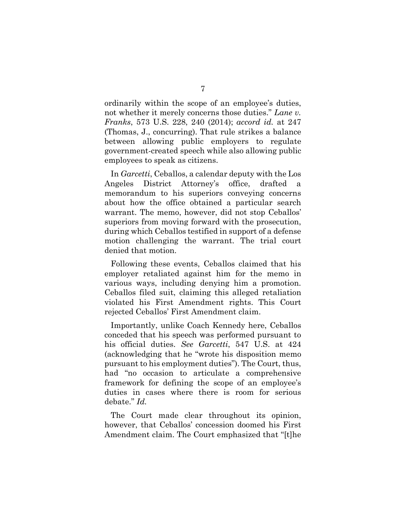ordinarily within the scope of an employee's duties, not whether it merely concerns those duties." *Lane v. Franks*, 573 U.S. 228, 240 (2014); *accord id.* at 247 (Thomas, J., concurring). That rule strikes a balance between allowing public employers to regulate government-created speech while also allowing public employees to speak as citizens.

In *Garcetti*, Ceballos, a calendar deputy with the Los Angeles District Attorney's office, drafted a memorandum to his superiors conveying concerns about how the office obtained a particular search warrant. The memo, however, did not stop Ceballos' superiors from moving forward with the prosecution, during which Ceballos testified in support of a defense motion challenging the warrant. The trial court denied that motion.

Following these events, Ceballos claimed that his employer retaliated against him for the memo in various ways, including denying him a promotion. Ceballos filed suit, claiming this alleged retaliation violated his First Amendment rights. This Court rejected Ceballos' First Amendment claim.

Importantly, unlike Coach Kennedy here, Ceballos conceded that his speech was performed pursuant to his official duties. *See Garcetti*, 547 U.S. at 424 (acknowledging that he "wrote his disposition memo pursuant to his employment duties"). The Court, thus, had "no occasion to articulate a comprehensive framework for defining the scope of an employee's duties in cases where there is room for serious debate." *Id.*

The Court made clear throughout its opinion, however, that Ceballos' concession doomed his First Amendment claim. The Court emphasized that "[t]he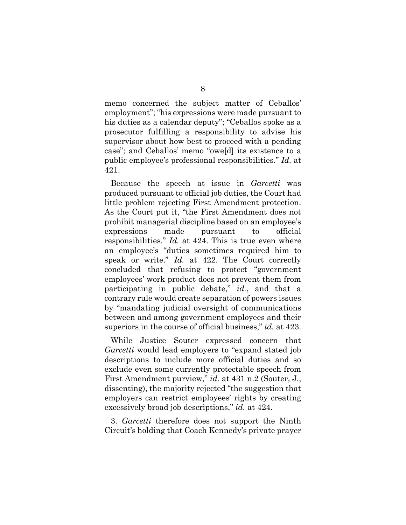memo concerned the subject matter of Ceballos' employment"; "his expressions were made pursuant to his duties as a calendar deputy"; "Ceballos spoke as a prosecutor fulfilling a responsibility to advise his supervisor about how best to proceed with a pending case"; and Ceballos' memo "owe[d] its existence to a public employee's professional responsibilities." *Id.* at 421.

Because the speech at issue in *Garcetti* was produced pursuant to official job duties, the Court had little problem rejecting First Amendment protection. As the Court put it, "the First Amendment does not prohibit managerial discipline based on an employee's expressions made pursuant to official responsibilities." *Id.* at 424. This is true even where an employee's "duties sometimes required him to speak or write." *Id.* at 422. The Court correctly concluded that refusing to protect "government employees' work product does not prevent them from participating in public debate," *id.*, and that a contrary rule would create separation of powers issues by "mandating judicial oversight of communications between and among government employees and their superiors in the course of official business," *id.* at 423.

While Justice Souter expressed concern that *Garcetti* would lead employers to "expand stated job descriptions to include more official duties and so exclude even some currently protectable speech from First Amendment purview," *id.* at 431 n.2 (Souter, J., dissenting), the majority rejected "the suggestion that employers can restrict employees' rights by creating excessively broad job descriptions," *id.* at 424.

3. *Garcetti* therefore does not support the Ninth Circuit's holding that Coach Kennedy's private prayer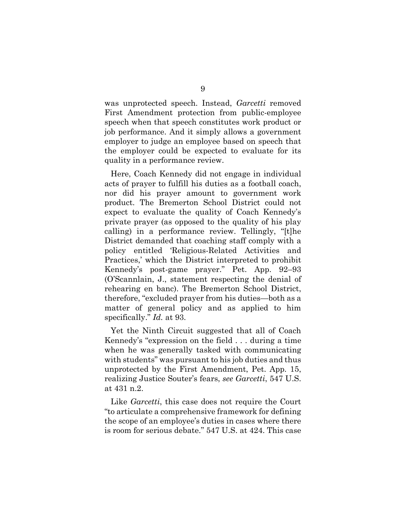was unprotected speech. Instead, *Garcetti* removed First Amendment protection from public-employee speech when that speech constitutes work product or job performance. And it simply allows a government employer to judge an employee based on speech that the employer could be expected to evaluate for its quality in a performance review.

Here, Coach Kennedy did not engage in individual acts of prayer to fulfill his duties as a football coach, nor did his prayer amount to government work product. The Bremerton School District could not expect to evaluate the quality of Coach Kennedy's private prayer (as opposed to the quality of his play calling) in a performance review. Tellingly, "[t]he District demanded that coaching staff comply with a policy entitled 'Religious-Related Activities and Practices,' which the District interpreted to prohibit Kennedy's post-game prayer." Pet. App. 92–93 (O'Scannlain, J., statement respecting the denial of rehearing en banc). The Bremerton School District, therefore, "excluded prayer from his duties—both as a matter of general policy and as applied to him specifically." *Id.* at 93.

Yet the Ninth Circuit suggested that all of Coach Kennedy's "expression on the field . . . during a time when he was generally tasked with communicating with students" was pursuant to his job duties and thus unprotected by the First Amendment, Pet. App. 15, realizing Justice Souter's fears, *see Garcetti*, 547 U.S. at 431 n.2.

Like *Garcetti*, this case does not require the Court "to articulate a comprehensive framework for defining the scope of an employee's duties in cases where there is room for serious debate." 547 U.S. at 424. This case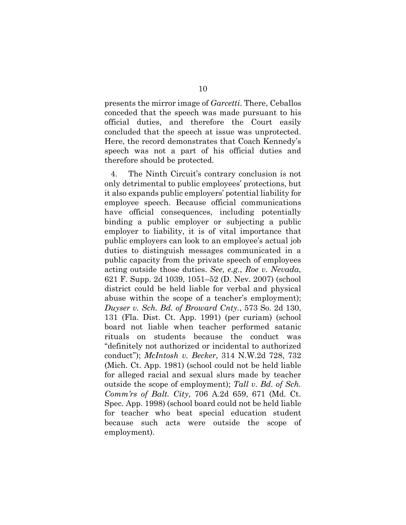presents the mirror image of *Garcetti*. There, Ceballos conceded that the speech was made pursuant to his official duties, and therefore the Court easily concluded that the speech at issue was unprotected. Here, the record demonstrates that Coach Kennedy's speech was not a part of his official duties and therefore should be protected.

4. The Ninth Circuit's contrary conclusion is not only detrimental to public employees' protections, but it also expands public employers' potential liability for employee speech. Because official communications have official consequences, including potentially binding a public employer or subjecting a public employer to liability, it is of vital importance that public employers can look to an employee's actual job duties to distinguish messages communicated in a public capacity from the private speech of employees acting outside those duties. *See, e.g.*, *Roe v. Nevada*, 621 F. Supp. 2d 1039, 1051–52 (D. Nev. 2007) (school district could be held liable for verbal and physical abuse within the scope of a teacher's employment); *Duyser v. Sch. Bd. of Broward Cnty.*, 573 So. 2d 130, 131 (Fla. Dist. Ct. App. 1991) (per curiam) (school board not liable when teacher performed satanic rituals on students because the conduct was "definitely not authorized or incidental to authorized conduct"); *McIntosh v. Becker*, 314 N.W.2d 728, 732 (Mich. Ct. App. 1981) (school could not be held liable for alleged racial and sexual slurs made by teacher outside the scope of employment); *Tall v. Bd. of Sch. Comm'rs of Balt. City*, 706 A.2d 659, 671 (Md. Ct. Spec. App. 1998) (school board could not be held liable for teacher who beat special education student because such acts were outside the scope of employment).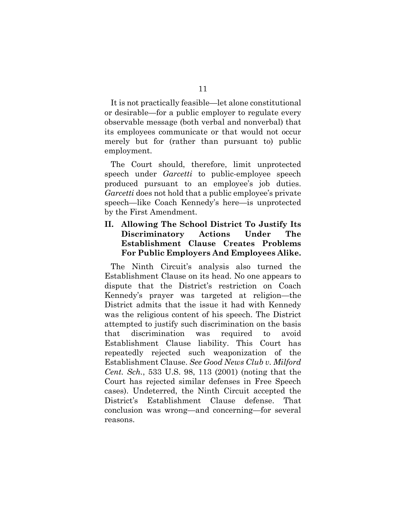It is not practically feasible—let alone constitutional or desirable—for a public employer to regulate every observable message (both verbal and nonverbal) that its employees communicate or that would not occur merely but for (rather than pursuant to) public employment.

The Court should, therefore, limit unprotected speech under *Garcetti* to public-employee speech produced pursuant to an employee's job duties. *Garcetti* does not hold that a public employee's private speech—like Coach Kennedy's here—is unprotected by the First Amendment.

### **II. Allowing The School District To Justify Its Discriminatory Actions Under The Establishment Clause Creates Problems For Public Employers And Employees Alike.**

The Ninth Circuit's analysis also turned the Establishment Clause on its head. No one appears to dispute that the District's restriction on Coach Kennedy's prayer was targeted at religion—the District admits that the issue it had with Kennedy was the religious content of his speech. The District attempted to justify such discrimination on the basis that discrimination was required to avoid Establishment Clause liability. This Court has repeatedly rejected such weaponization of the Establishment Clause. *See Good News Club v. Milford Cent. Sch.*, 533 U.S. 98, 113 (2001) (noting that the Court has rejected similar defenses in Free Speech cases). Undeterred, the Ninth Circuit accepted the District's Establishment Clause defense. That conclusion was wrong—and concerning—for several reasons.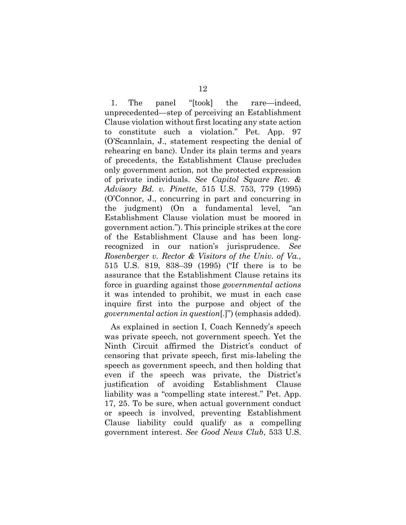1. The panel "[took] the rare—indeed, unprecedented—step of perceiving an Establishment Clause violation without first locating any state action to constitute such a violation." Pet. App. 97 (O'Scannlain, J., statement respecting the denial of rehearing en banc). Under its plain terms and years of precedents, the Establishment Clause precludes only government action, not the protected expression of private individuals. *See Capitol Square Rev. & Advisory Bd. v. Pinette*, 515 U.S. 753, 779 (1995) (O'Connor, J., concurring in part and concurring in the judgment) (On a fundamental level, "an Establishment Clause violation must be moored in government action."). This principle strikes at the core of the Establishment Clause and has been longrecognized in our nation's jurisprudence. *See Rosenberger v. Rector & Visitors of the Univ. of Va.*, 515 U.S. 819, 838–39 (1995) ("If there is to be assurance that the Establishment Clause retains its force in guarding against those *governmental actions* it was intended to prohibit, we must in each case inquire first into the purpose and object of the *governmental action in question*[.]") (emphasis added).

As explained in section I, Coach Kennedy's speech was private speech, not government speech. Yet the Ninth Circuit affirmed the District's conduct of censoring that private speech, first mis-labeling the speech as government speech, and then holding that even if the speech was private, the District's justification of avoiding Establishment Clause liability was a "compelling state interest." Pet. App. 17, 25. To be sure, when actual government conduct or speech is involved, preventing Establishment Clause liability could qualify as a compelling government interest. *See Good News Club*, 533 U.S.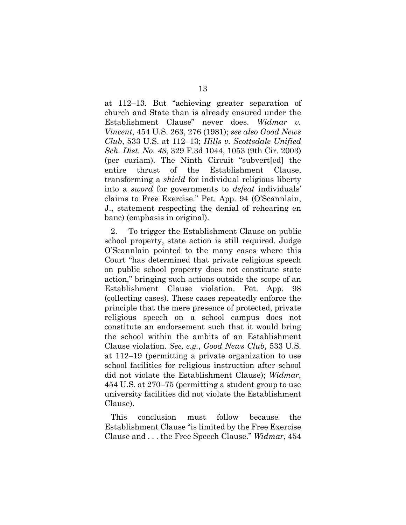at 112–13. But "achieving greater separation of church and State than is already ensured under the Establishment Clause" never does. *Widmar v. Vincent*, 454 U.S. 263, 276 (1981); *see also Good News Club*, 533 U.S. at 112–13; *Hills v. Scottsdale Unified Sch. Dist. No. 48*, 329 F.3d 1044, 1053 (9th Cir. 2003) (per curiam). The Ninth Circuit "subvert[ed] the entire thrust of the Establishment Clause, transforming a *shield* for individual religious liberty into a *sword* for governments to *defeat* individuals' claims to Free Exercise." Pet. App. 94 (O'Scannlain, J., statement respecting the denial of rehearing en banc) (emphasis in original).

2. To trigger the Establishment Clause on public school property, state action is still required. Judge O'Scannlain pointed to the many cases where this Court "has determined that private religious speech on public school property does not constitute state action," bringing such actions outside the scope of an Establishment Clause violation. Pet. App. 98 (collecting cases). These cases repeatedly enforce the principle that the mere presence of protected, private religious speech on a school campus does not constitute an endorsement such that it would bring the school within the ambits of an Establishment Clause violation. *See, e.g.*, *Good News Club*, 533 U.S. at 112−19 (permitting a private organization to use school facilities for religious instruction after school did not violate the Establishment Clause); *Widmar*, 454 U.S. at 270–75 (permitting a student group to use university facilities did not violate the Establishment Clause).

This conclusion must follow because the Establishment Clause "is limited by the Free Exercise Clause and . . . the Free Speech Clause." *Widmar*, 454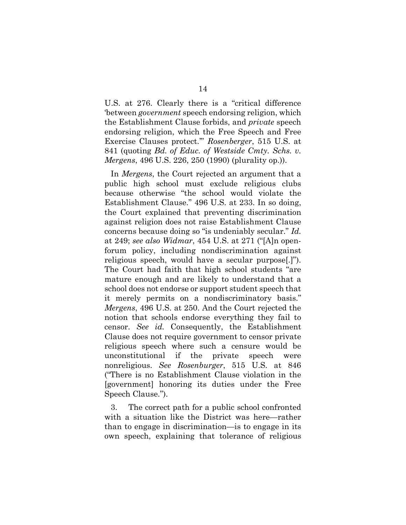U.S. at 276. Clearly there is a "critical difference 'between *government* speech endorsing religion, which the Establishment Clause forbids, and *private* speech endorsing religion, which the Free Speech and Free Exercise Clauses protect.'" *Rosenberger*, 515 U.S. at 841 (quoting *Bd. of Educ. of Westside Cmty. Schs. v. Mergens*, 496 U.S. 226, 250 (1990) (plurality op.)).

In *Mergens*, the Court rejected an argument that a public high school must exclude religious clubs because otherwise "the school would violate the Establishment Clause." 496 U.S. at 233. In so doing, the Court explained that preventing discrimination against religion does not raise Establishment Clause concerns because doing so "is undeniably secular." *Id.* at 249; *see also Widmar*, 454 U.S. at 271 ("[A]n openforum policy, including nondiscrimination against religious speech, would have a secular purpose[.]"). The Court had faith that high school students "are mature enough and are likely to understand that a school does not endorse or support student speech that it merely permits on a nondiscriminatory basis." *Mergens*, 496 U.S. at 250. And the Court rejected the notion that schools endorse everything they fail to censor. *See id.* Consequently, the Establishment Clause does not require government to censor private religious speech where such a censure would be unconstitutional if the private speech were nonreligious. *See Rosenburger*, 515 U.S. at 846 ("There is no Establishment Clause violation in the [government] honoring its duties under the Free Speech Clause.").

3. The correct path for a public school confronted with a situation like the District was here—rather than to engage in discrimination—is to engage in its own speech, explaining that tolerance of religious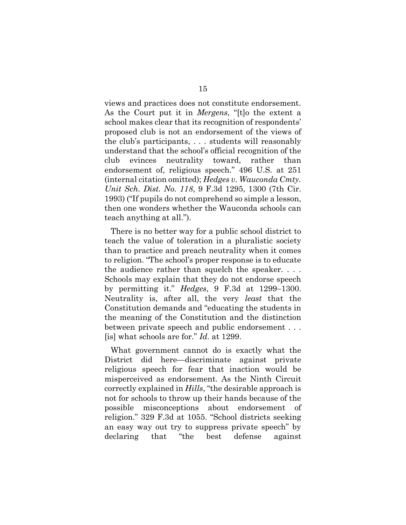views and practices does not constitute endorsement. As the Court put it in *Mergens*, "[t]o the extent a school makes clear that its recognition of respondents' proposed club is not an endorsement of the views of the club's participants, . . . students will reasonably understand that the school's official recognition of the club evinces neutrality toward, rather than endorsement of, religious speech." 496 U.S. at 251 (internal citation omitted); *Hedges v. Wauconda Cmty. Unit Sch. Dist. No. 118*, 9 F.3d 1295, 1300 (7th Cir. 1993) ("If pupils do not comprehend so simple a lesson, then one wonders whether the Wauconda schools can teach anything at all.").

There is no better way for a public school district to teach the value of toleration in a pluralistic society than to practice and preach neutrality when it comes to religion. "The school's proper response is to educate the audience rather than squelch the speaker. . . . Schools may explain that they do not endorse speech by permitting it." *Hedges*, 9 F.3d at 1299−1300. Neutrality is, after all, the very *least* that the Constitution demands and "educating the students in the meaning of the Constitution and the distinction between private speech and public endorsement . . . [is] what schools are for." *Id.* at 1299.

What government cannot do is exactly what the District did here—discriminate against private religious speech for fear that inaction would be misperceived as endorsement. As the Ninth Circuit correctly explained in *Hills*, "the desirable approach is not for schools to throw up their hands because of the possible misconceptions about endorsement of religion." 329 F.3d at 1055. "School districts seeking an easy way out try to suppress private speech" by declaring that "the best defense against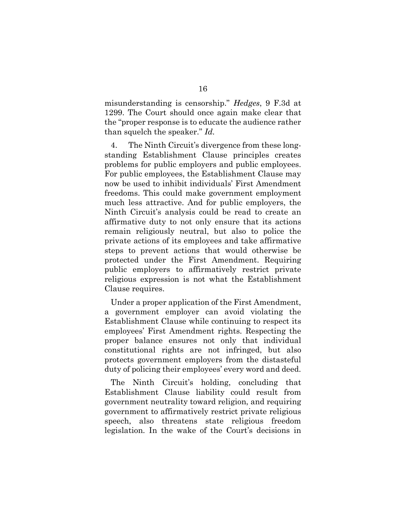misunderstanding is censorship." *Hedges*, 9 F.3d at 1299. The Court should once again make clear that the "proper response is to educate the audience rather than squelch the speaker." *Id.*

4. The Ninth Circuit's divergence from these longstanding Establishment Clause principles creates problems for public employers and public employees. For public employees, the Establishment Clause may now be used to inhibit individuals' First Amendment freedoms. This could make government employment much less attractive. And for public employers, the Ninth Circuit's analysis could be read to create an affirmative duty to not only ensure that its actions remain religiously neutral, but also to police the private actions of its employees and take affirmative steps to prevent actions that would otherwise be protected under the First Amendment. Requiring public employers to affirmatively restrict private religious expression is not what the Establishment Clause requires.

Under a proper application of the First Amendment, a government employer can avoid violating the Establishment Clause while continuing to respect its employees' First Amendment rights. Respecting the proper balance ensures not only that individual constitutional rights are not infringed, but also protects government employers from the distasteful duty of policing their employees' every word and deed.

The Ninth Circuit's holding, concluding that Establishment Clause liability could result from government neutrality toward religion, and requiring government to affirmatively restrict private religious speech, also threatens state religious freedom legislation. In the wake of the Court's decisions in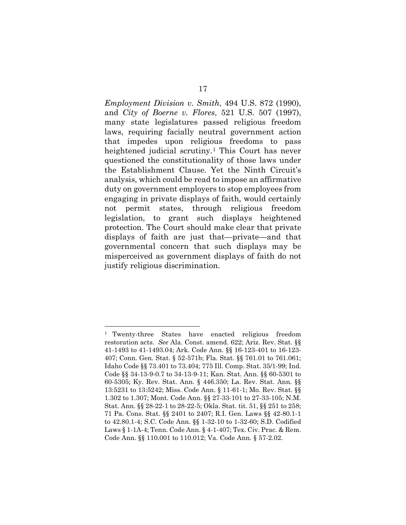*Employment Division v. Smith*, 494 U.S. 872 (1990), and *City of Boerne v. Flores*, 521 U.S. 507 (1997), many state legislatures passed religious freedom laws, requiring facially neutral government action that impedes upon religious freedoms to pass heightened judicial scrutiny.<sup>[1](#page-23-0)</sup> This Court has never questioned the constitutionality of those laws under the Establishment Clause. Yet the Ninth Circuit's analysis, which could be read to impose an affirmative duty on government employers to stop employees from engaging in private displays of faith, would certainly not permit states, through religious freedom legislation, to grant such displays heightened protection. The Court should make clear that private displays of faith are just that—private—and that governmental concern that such displays may be misperceived as government displays of faith do not justify religious discrimination.

<span id="page-23-0"></span><sup>1</sup> Twenty-three States have enacted religious freedom restoration acts. *See* Ala. Const. amend. 622; Ariz. Rev. Stat. §§ 41-1493 to 41-1493.04; Ark. Code Ann. §§ 16-123-401 to 16-123- 407; Conn. Gen. Stat. § 52-571b; Fla. Stat. §§ 761.01 to 761.061; Idaho Code §§ 73.401 to 73.404; 775 Ill. Comp. Stat. 35/1-99; Ind. Code §§ 34-13-9-0.7 to 34-13-9-11; Kan. Stat. Ann. §§ 60-5301 to 60-5305; Ky. Rev. Stat. Ann. § 446.350; La. Rev. Stat. Ann. §§ 13:5231 to 13:5242; Miss. Code Ann. § 11-61-1; Mo. Rev. Stat. §§ 1.302 to 1.307; Mont. Code Ann. §§ 27-33-101 to 27-33-105; N.M. Stat. Ann. §§ 28-22-1 to 28-22-5; Okla. Stat. tit. 51, §§ 251 to 258; 71 Pa. Cons. Stat. §§ 2401 to 2407; R.I. Gen. Laws §§ 42-80.1-1 to 42.80.1-4; S.C. Code Ann. §§ 1-32-10 to 1-32-60; S.D. Codified Laws § 1-1A-4; Tenn. Code Ann. § 4-1-407; Tex. Civ. Prac. & Rem. Code Ann. §§ 110.001 to 110.012; Va. Code Ann. § 57-2.02.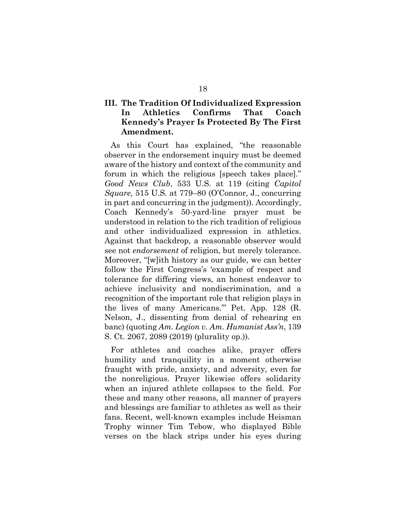### **III. The Tradition Of Individualized Expression In Athletics Confirms That Coach Kennedy's Prayer Is Protected By The First Amendment.**

As this Court has explained, "the reasonable observer in the endorsement inquiry must be deemed aware of the history and context of the community and forum in which the religious [speech takes place]." *Good News Club*, 533 U.S. at 119 (citing *Capitol Square,* 515 U.S. at 779–80 (O'Connor, J., concurring in part and concurring in the judgment)). Accordingly, Coach Kennedy's 50-yard-line prayer must be understood in relation to the rich tradition of religious and other individualized expression in athletics. Against that backdrop, a reasonable observer would see not *endorsement* of religion, but merely tolerance. Moreover, "[w]ith history as our guide, we can better follow the First Congress's 'example of respect and tolerance for differing views, an honest endeavor to achieve inclusivity and nondiscrimination, and a recognition of the important role that religion plays in the lives of many Americans.'" Pet. App. 128 (R. Nelson, J., dissenting from denial of rehearing en banc) (quoting *Am. Legion v. Am. Humanist Ass'n*, 139 S. Ct. 2067, 2089 (2019) (plurality op.)).

For athletes and coaches alike, prayer offers humility and tranquility in a moment otherwise fraught with pride, anxiety, and adversity, even for the nonreligious. Prayer likewise offers solidarity when an injured athlete collapses to the field. For these and many other reasons, all manner of prayers and blessings are familiar to athletes as well as their fans. Recent, well-known examples include Heisman Trophy winner Tim Tebow, who displayed Bible verses on the black strips under his eyes during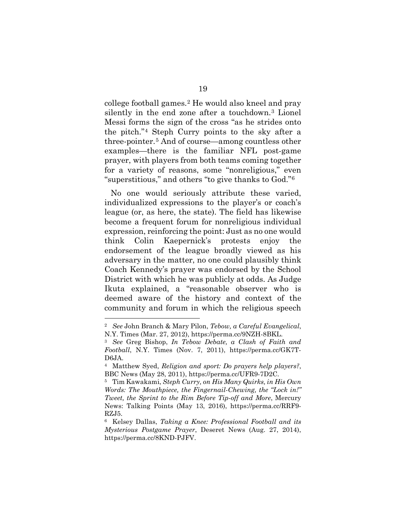college football games.[2](#page-25-0) He would also kneel and pray silently in the end zone after a touchdown.[3](#page-25-1) Lionel Messi forms the sign of the cross "as he strides onto the pitch."[4](#page-25-2) Steph Curry points to the sky after a three-pointer.[5](#page-25-3) And of course—among countless other examples—there is the familiar NFL post-game prayer, with players from both teams coming together for a variety of reasons, some "nonreligious," even "superstitious," and others "to give thanks to God."[6](#page-25-4) 

No one would seriously attribute these varied, individualized expressions to the player's or coach's league (or, as here, the state). The field has likewise become a frequent forum for nonreligious individual expression, reinforcing the point: Just as no one would think Colin Kaepernick's protests enjoy the endorsement of the league broadly viewed as his adversary in the matter, no one could plausibly think Coach Kennedy's prayer was endorsed by the School District with which he was publicly at odds. As Judge Ikuta explained, a "reasonable observer who is deemed aware of the history and context of the community and forum in which the religious speech

<span id="page-25-0"></span><sup>2</sup> *See* John Branch & Mary Pilon, *Tebow, a Careful Evangelical*, N.Y. Times (Mar. 27, 2012), https://perma.cc/9NZH-8BKL. 3 *See* Greg Bishop, *In Tebow Debate, a Clash of Faith and* 

<span id="page-25-1"></span>*Football*, N.Y. Times (Nov. 7, 2011), https://perma.cc/GK7T-D6JA. 4 Matthew Syed, *Religion and sport: Do prayers help players?*,

<span id="page-25-2"></span>BBC News (May 28, 2011), https://perma.cc/UFR9-7D2C. 5 Tim Kawakami, *Steph Curry, on His Many Quirks, in His Own* 

<span id="page-25-3"></span>*Words: The Mouthpiece, the Fingernail-Chewing, the "Lock in!" Tweet, the Sprint to the Rim Before Tip-off and More*, Mercury News: Talking Points (May 13, 2016), https://perma.cc/RRF9- RZJ5. 6 Kelsey Dallas, *Taking a Knee: Professional Football and its* 

<span id="page-25-4"></span>*Mysterious Postgame Prayer*, Deseret News (Aug. 27, 2014), https://perma.cc/8KND-PJFV.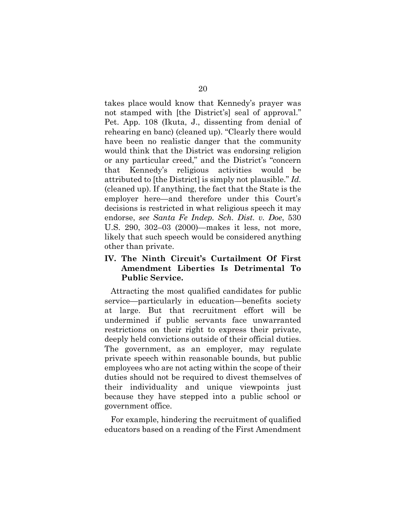takes place would know that Kennedy's prayer was not stamped with [the District's] seal of approval." Pet. App. 108 (Ikuta, J., dissenting from denial of rehearing en banc) (cleaned up). "Clearly there would have been no realistic danger that the community would think that the District was endorsing religion or any particular creed," and the District's "concern that Kennedy's religious activities would be attributed to [the District] is simply not plausible." *Id.*  (cleaned up). If anything, the fact that the State is the employer here—and therefore under this Court's decisions is restricted in what religious speech it may endorse, *see Santa Fe Indep. Sch. Dist. v. Doe*, 530 U.S. 290, 302–03 (2000)—makes it less, not more, likely that such speech would be considered anything other than private.

### **IV. The Ninth Circuit's Curtailment Of First Amendment Liberties Is Detrimental To Public Service.**

Attracting the most qualified candidates for public service—particularly in education—benefits society at large. But that recruitment effort will be undermined if public servants face unwarranted restrictions on their right to express their private, deeply held convictions outside of their official duties. The government, as an employer, may regulate private speech within reasonable bounds, but public employees who are not acting within the scope of their duties should not be required to divest themselves of their individuality and unique viewpoints just because they have stepped into a public school or government office.

For example, hindering the recruitment of qualified educators based on a reading of the First Amendment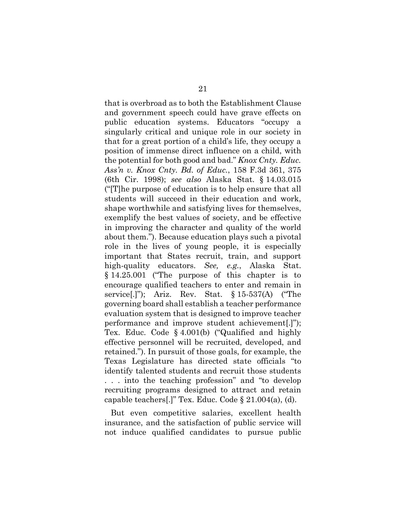that is overbroad as to both the Establishment Clause and government speech could have grave effects on public education systems. Educators "occupy a singularly critical and unique role in our society in that for a great portion of a child's life, they occupy a position of immense direct influence on a child, with the potential for both good and bad." *Knox Cnty. Educ. Ass'n v. Knox Cnty. Bd. of Educ.*, 158 F.3d 361, 375 (6th Cir. 1998); *see also* Alaska Stat. § 14.03.015 ("[T]he purpose of education is to help ensure that all students will succeed in their education and work, shape worthwhile and satisfying lives for themselves, exemplify the best values of society, and be effective in improving the character and quality of the world about them."). Because education plays such a pivotal role in the lives of young people, it is especially important that States recruit, train, and support high-quality educators. *See, e.g.*, Alaska Stat. § 14.25.001 ("The purpose of this chapter is to encourage qualified teachers to enter and remain in service[.]"); Ariz. Rev. Stat. § 15-537(A) ("The governing board shall establish a teacher performance evaluation system that is designed to improve teacher performance and improve student achievement[.]"); Tex. Educ. Code § 4.001(b) ("Qualified and highly effective personnel will be recruited, developed, and retained."). In pursuit of those goals, for example, the Texas Legislature has directed state officials "to identify talented students and recruit those students . . . into the teaching profession" and "to develop recruiting programs designed to attract and retain capable teachers[.]" Tex. Educ. Code § 21.004(a), (d).

But even competitive salaries, excellent health insurance, and the satisfaction of public service will not induce qualified candidates to pursue public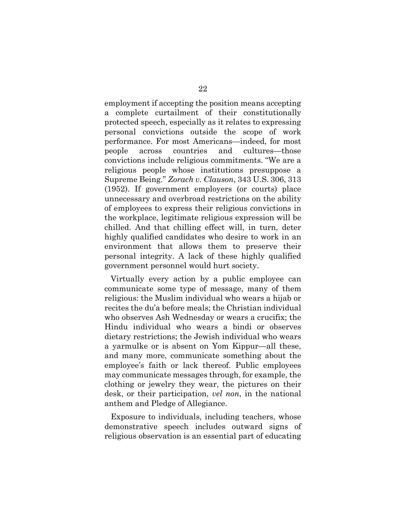employment if accepting the position means accepting a complete curtailment of their constitutionally protected speech, especially as it relates to expressing personal convictions outside the scope of work performance. For most Americans—indeed, for most people across countries and cultures—those convictions include religious commitments. "We are a religious people whose institutions presuppose a Supreme Being." *Zorach v. Clauson*, 343 U.S. 306, 313 (1952). If government employers (or courts) place unnecessary and overbroad restrictions on the ability of employees to express their religious convictions in the workplace, legitimate religious expression will be chilled. And that chilling effect will, in turn, deter highly qualified candidates who desire to work in an environment that allows them to preserve their personal integrity. A lack of these highly qualified government personnel would hurt society.

Virtually every action by a public employee can communicate some type of message, many of them religious: the Muslim individual who wears a hijab or recites the du'a before meals; the Christian individual who observes Ash Wednesday or wears a crucifix; the Hindu individual who wears a bindi or observes dietary restrictions; the Jewish individual who wears a yarmulke or is absent on Yom Kippur—all these, and many more, communicate something about the employee's faith or lack thereof. Public employees may communicate messages through, for example, the clothing or jewelry they wear, the pictures on their desk, or their participation, *vel non*, in the national anthem and Pledge of Allegiance.

Exposure to individuals, including teachers, whose demonstrative speech includes outward signs of religious observation is an essential part of educating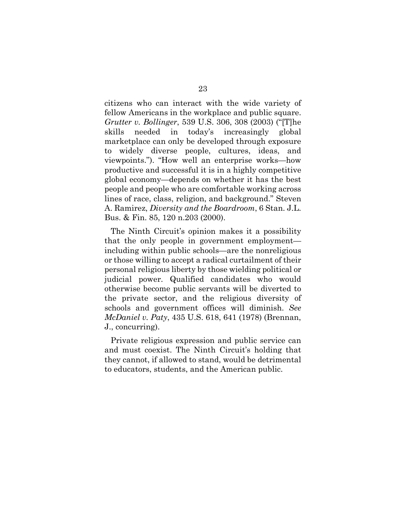citizens who can interact with the wide variety of fellow Americans in the workplace and public square. *Grutter v. Bollinger*, 539 U.S. 306, 308 (2003) ("[T]he skills needed in today's increasingly global marketplace can only be developed through exposure to widely diverse people, cultures, ideas, and viewpoints."). "How well an enterprise works—how productive and successful it is in a highly competitive global economy—depends on whether it has the best people and people who are comfortable working across lines of race, class, religion, and background." Steven A. Ramirez, *Diversity and the Boardroom*, 6 Stan. J.L. Bus. & Fin. 85, 120 n.203 (2000).

The Ninth Circuit's opinion makes it a possibility that the only people in government employment including within public schools—are the nonreligious or those willing to accept a radical curtailment of their personal religious liberty by those wielding political or judicial power. Qualified candidates who would otherwise become public servants will be diverted to the private sector, and the religious diversity of schools and government offices will diminish. *See McDaniel v. Paty*, 435 U.S. 618, 641 (1978) (Brennan, J., concurring).

Private religious expression and public service can and must coexist. The Ninth Circuit's holding that they cannot, if allowed to stand, would be detrimental to educators, students, and the American public.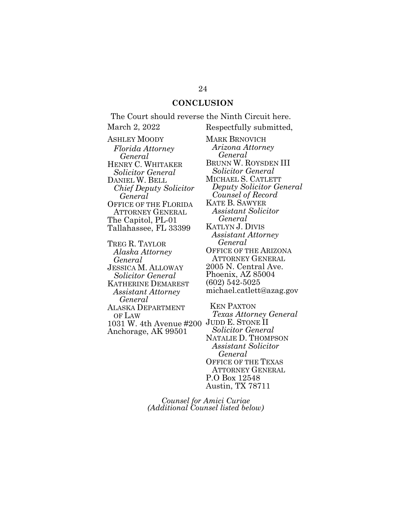### **CONCLUSION**

The Court should reverse the Ninth Circuit here. March 2, 2022 Respectfully submitted,

ASHLEY MOODY *Florida Attorney General* HENRY C. WHITAKER *Solicitor General* DANIEL W. BELL *Chief Deputy Solicitor General* OFFICE OF THE FLORIDA ATTORNEY GENERAL The Capitol, PL-01 Tallahassee, FL 33399

TREG R. TAYLOR *Alaska Attorney General* JESSICA M. ALLOWAY *Solicitor General* KATHERINE DEMAREST *Assistant Attorney General* ALASKA DEPARTMENT OF LAW 1031 W. 4th Avenue #200 JUDD E. STONE II Anchorage, AK 99501

MARK BRNOVICH *Arizona Attorney General* BRUNN W. ROYSDEN III *Solicitor General* MICHAEL S. CATLETT *Deputy Solicitor General Counsel of Record* KATE B. SAWYER *Assistant Solicitor General* KATLYN J. DIVIS *Assistant Attorney General* OFFICE OF THE ARIZONA ATTORNEY GENERAL 2005 N. Central Ave. Phoenix, AZ 85004 (602) 542-5025 michael.catlett@azag.gov

KEN PAXTON *Texas Attorney General Solicitor General* NATALIE D. THOMPSON *Assistant Solicitor General* OFFICE OF THE TEXAS ATTORNEY GENERAL P.O Box 12548 Austin, TX 78711

*Counsel for Amici Curiae (Additional Counsel listed below)*

## 24